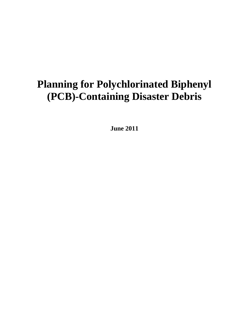# **Planning for Polychlorinated Biphenyl (PCB)-Containing Disaster Debris**

**June 2011**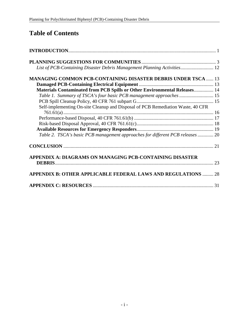## **Table of Contents**

| List of PCB-Containing Disaster Debris Management Planning Activities 12        |  |
|---------------------------------------------------------------------------------|--|
| <b>MANAGING COMMON PCB-CONTAINING DISASTER DEBRIS UNDER TSCA  13</b>            |  |
|                                                                                 |  |
| Materials Contaminated from PCB Spills or Other Environmental Releases 14       |  |
| Table 1. Summary of TSCA's four basic PCB management approaches  15             |  |
|                                                                                 |  |
| Self-implementing On-site Cleanup and Disposal of PCB Remediation Waste, 40 CFR |  |
|                                                                                 |  |
|                                                                                 |  |
|                                                                                 |  |
|                                                                                 |  |
| Table 2. TSCA's basic PCB management approaches for different PCB releases  20  |  |
|                                                                                 |  |
| APPENDIX A: DIAGRAMS ON MANAGING PCB-CONTAINING DISASTER                        |  |
| <b>APPENDIX B: OTHER APPLICABLE FEDERAL LAWS AND REGULATIONS  28</b>            |  |
|                                                                                 |  |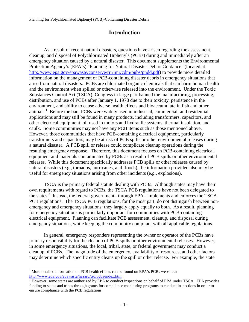## **Introduction**

 As a result of recent natural disasters, questions have arisen regarding the assessment, cleanup, and disposal of Polychlorinated Biphenyls (PCBs) during and immediately after an emergency situation caused by a natural disaster. This document supplements the Environmental Protection Agency's (EPA's) "Planning for Natural Disaster Debris Guidance" (located at http://www.epa.gov/epawaste/conserve/rrr/imr/cdm/pubs/pndd.pdf) to provide more detailed information on the management of PCB-containing disaster debris in emergency situations that arise from natural disasters. PCBs are chlorinated organic chemicals that can harm human health and the environment when spilled or otherwise released into the environment. Under the Toxic Substances Control Act (TSCA), Congress in large part banned the manufacturing, processing, distribution, and use of PCBs after January 1, 1978 due to their toxicity, persistence in the environment, and ability to cause adverse health effects and bioaccumulate in fish and other animals.<sup>1</sup> Before the ban, PCBs were widely used in industrial, commercial, and residential applications and may still be found in many products, including transformers, capacitors, and other electrical equipment, oil used in motors and hydraulic systems, thermal insulation, and caulk. Some communities may not have any PCB items such as those mentioned above. However, those communities that have PCB-containing electrical equipment, particularly transformers and capacitors, may be at risk of PCB spills or other environmental releases during a natural disaster. A PCB spill or release could complicate cleanup operations during the resulting emergency response. Therefore, this document focuses on PCB-containing electrical equipment and materials contaminated by PCBs as a result of PCB spills or other environmental releases. While this document specifically addresses PCB spills or other releases caused by natural disasters (e.g., tornados, hurricanes, and floods), the information provided also may be useful for emergency situations arising from other incidents (e.g., explosions).

TSCA is the primary federal statute dealing with PCBs. Although states may have their own requirements with regard to PCBs, the TSCA PCB regulations have not been delegated to the states.<sup>2</sup> Instead, the federal government– through EPA– implements and enforces the TSCA PCB regulations. The TSCA PCB regulations, for the most part, do not distinguish between nonemergency and emergency situations; they largely apply equally to both. As a result, planning for emergency situations is particularly important for communities with PCB-containing electrical equipment. Planning can facilitate PCB assessment, cleanup, and disposal during emergency situations, while keeping the community compliant with all applicable regulations.

In general, emergency responders representing the owner or operator of the PCBs have primary responsibility for the cleanup of PCB spills or other environmental releases. However, in some emergency situations, the local, tribal, state, or federal government may conduct a cleanup of PCBs. The magnitude of the emergency, availability of resources, and other factors may determine which specific entity cleans up the spill or other release. For example, the state

 $\overline{a}$ <sup>1</sup> More detailed information on PCB health effects can be found on EPA's PCBs website at http://www.epa.gov/epawaste/hazard/tsd/pcbs/index.htm.

 $2$  However, some states are authorized by EPA to conduct inspections on behalf of EPA under TSCA. EPA provides funding to states and tribes through grants for compliance monitoring programs to conduct inspections in order to ensure compliance with the PCB regulations.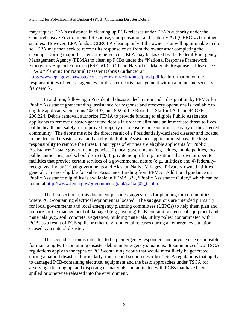may request EPA's assistance in cleaning up PCB releases under EPA's authority under the Comprehensive Environmental Response, Compensation, and Liability Act (CERCLA) or other statutes. However, EPA funds a CERCLA cleanup only if the owner is unwilling or unable to do so. EPA may then seek to recover its response costs from the owner after completing the cleanup. During major disasters or emergencies, EPA may be tasked by the Federal Emergency Management Agency (FEMA) to clean up PCBs under the "National Response Framework, Emergency Support Function (ESF) #10 – Oil and Hazardous Materials Response." Please see EPA's "Planning for Natural Disaster Debris Guidance" at http://www.epa.gov/epawaste/conserve/rrr/imr/cdm/pubs/pndd.pdf for information on the responsibilities of federal agencies for disaster debris management within a homeland security framework.

In addition, following a Presidential disaster declaration and a designation by FEMA for Public Assistance grant funding, assistance for response and recovery operations is available to eligible applicants. Sections 403, 407, and 502 of the Robert T. Stafford Act and 44 CFR 206.224, Debris removal, authorize FEMA to provide funding to eligible Public Assistance applicants to remove disaster-generated debris in order to eliminate an immediate threat to lives, public health and safety, or improved property or to ensure the economic recovery of the affected community. The debris must be the direct result of a Presidentially-declared disaster and located in the declared disaster area, and an eligible Public Assistance applicant must have the legal responsibility to remove the threat. Four types of entities are eligible applicants for Public Assistance: 1) state government agencies; 2) local governments (e.g., cities, municipalities, local public authorities, and school districts); 3) private nonprofit organizations that own or operate facilities that provide certain services of a governmental nature (e.g., utilities); and 4) federallyrecognized Indian Tribal governments and Alaskan Native Villages. Privately-owned utilities generally are not eligible for Public Assistance funding from FEMA. Additional guidance on Public Assistance eligibility is available in FEMA 322, "Public Assistance Guide," which can be found at http://www.fema.gov/government/grant/pa/pag07\_t.shtm.

The first section of this document provides suggestions for planning for communities where PCB-containing electrical equipment is located. The suggestions are intended primarily for local governments and local emergency planning committees (LEPCs) to help them plan and prepare for the management of damaged (e.g., leaking) PCB-containing electrical equipment and materials (e.g., soil, concrete, vegetation, building materials, utility poles) contaminated with PCBs as a result of PCB spills or other environmental releases during an emergency situation caused by a natural disaster.

The second section is intended to help emergency responders and anyone else responsible for managing PCB-containing disaster debris in emergency situations. It summarizes how TSCA regulations apply to the types of PCB-containing debris that would most likely be generated during a natural disaster. Particularly, this second section describes TSCA regulations that apply to damaged PCB-containing electrical equipment and the basic approaches under TSCA for assessing, cleaning up, and disposing of materials contaminated with PCBs that have been spilled or otherwise released into the environment.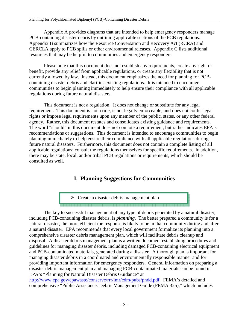Appendix A provides diagrams that are intended to help emergency responders manage PCB-containing disaster debris by outlining applicable sections of the PCB regulations. Appendix B summarizes how the Resource Conversation and Recovery Act (RCRA) and CERCLA apply to PCB spills or other environmental releases. Appendix C lists additional resources that may be helpful to communities and emergency responders.

Please note that this document does not establish any requirements, create any right or benefit, provide any relief from applicable regulations, or create any flexibility that is not currently allowed by law. Instead, this document emphasizes the need for planning for PCBcontaining disaster debris and clarifies existing regulations. It is intended to encourage communities to begin planning immediately to help ensure their compliance with all applicable regulations during future natural disasters.

This document is not a regulation. It does not change or substitute for any legal requirement. This document is not a rule, is not legally enforceable, and does not confer legal rights or impose legal requirements upon any member of the public, states, or any other federal agency. Rather, this document restates and consolidates existing guidance and requirements. The word "should" in this document does not connote a requirement, but rather indicates EPA's recommendations or suggestions. This document is intended to encourage communities to begin planning immediately to help ensure their compliance with all applicable regulations during future natural disasters. Furthermore, this document does not contain a complete listing of all applicable regulations; consult the regulations themselves for specific requirements. In addition, there may be state, local, and/or tribal PCB regulations or requirements, which should be consulted as well.

## **I. Planning Suggestions for Communities**

 $\triangleright$  Create a disaster debris management plan 

The key to successful management of any type of debris generated by a natural disaster, including PCB-containing disaster debris, is *planning*. The better prepared a community is for a natural disaster, the more efficient the response is likely to be in that community during and after a natural disaster. EPA recommends that every local government formalize its planning into a comprehensive disaster debris management plan, which will facilitate debris cleanup and disposal. A disaster debris management plan is a written document establishing procedures and guidelines for managing disaster debris, including damaged PCB-containing electrical equipment and PCB-contaminated materials, generated during a disaster. A thorough plan is important for managing disaster debris in a coordinated and environmentally responsible manner and for providing important information for emergency responders. General information on preparing a disaster debris management plan and managing PCB-contaminated materials can be found in EPA's "Planning for Natural Disaster Debris Guidance" at

http://www.epa.gov/epawaste/conserve/rrr/imr/cdm/pubs/pndd.pdf. FEMA's detailed and comprehensive "Public Assistance: Debris Management Guide (FEMA 325)," which includes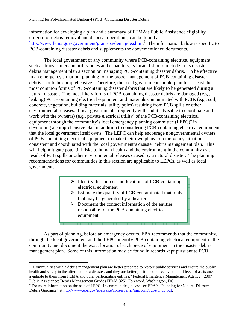information for developing a plan and a summary of FEMA's Public Assistance eligibility criteria for debris removal and disposal operations, can be found at http://www.fema.gov/government/grant/pa/demagde.shtm.<sup>3</sup> The information below is specific to PCB-containing disaster debris and supplements the abovementioned documents.

The local government of any community where PCB-containing electrical equipment, such as transformers on utility poles and capacitors, is located should include in its disaster debris management plan a section on managing PCB-containing disaster debris. To be effective in an emergency situation, planning for the proper management of PCB-containing disaster debris should be comprehensive. Therefore, the local government should plan for at least the most common forms of PCB-containing disaster debris that are likely to be generated during a natural disaster. The most likely forms of PCB-containing disaster debris are damaged (e.g., leaking) PCB-containing electrical equipment and materials contaminated with PCBs (e.g., soil, concrete, vegetation, building materials, utility poles) resulting from PCB spills or other environmental releases. Local governments frequently will find it advisable to coordinate and work with the owner(s) (e.g., private electrical utility) of the PCB-containing electrical equipment through the community's local emergency planning committee  $(LEPC)^4$  in developing a comprehensive plan in addition to considering PCB-containing electrical equipment that the local government itself owns. The LEPC can help encourage nongovernmental owners of PCB-containing electrical equipment to make their own plans for emergency situations consistent and coordinated with the local government's disaster debris management plan. This will help mitigate potential risks to human health and the environment in the community as a result of PCB spills or other environmental releases caused by a natural disaster. The planning recommendations for communities in this section are applicable to LEPCs, as well as local governments.

- $\triangleright$  Identify the sources and locations of PCB-containing electrical equipment
- $\triangleright$  Estimate the quantity of PCB-contaminated materials that may be generated by a disaster
- $\triangleright$  Document the contact information of the entities responsible for the PCB-containing electrical equipment

As part of planning, before an emergency occurs, EPA recommends that the community, through the local government and the LEPC, identify PCB-containing electrical equipment in the community and document the exact location of each piece of equipment in the disaster debris management plan. Some of this information may be found in records kept pursuant to PCB

 $\overline{a}$  $3$  "Communities with a debris management plan are better prepared to restore public services and ensure the public health and safety in the aftermath of a disaster, and they are better positioned to receive the full level of assistance available to them from FEMA and other participating entities." Federal Emergency Management Agency. (2007). Public Assistance: Debris Management Guide (FEMA 325). Foreword. Washington, DC.

<sup>&</sup>lt;sup>4</sup> For more information on the role of LEPCs in communities, please see EPA's "Planning for Natural Disaster Debris Guidance" at http://www.epa.gov/epawaste/conserve/rrr/imr/cdm/pubs/pndd.pdf.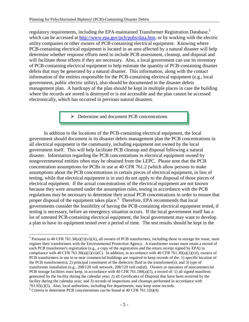regulatory requirements, including the EPA-maintained Transformer Registration Database,<sup>5</sup> which can be accessed at http://www.epa.gov/pcb/pubs/data.htm, or by working with the electric utility companies or other owners of PCB-containing electrical equipment. Knowing where PCB-containing electrical equipment is located in an area affected by a natural disaster will help determine whether response efforts need to include PCB assessment, cleanup, and disposal and will facilitate those efforts if they are necessary. Also, a local government can use its inventory of PCB-containing electrical equipment to help estimate the quantity of PCB-containing disaster debris that may be generated by a natural disaster. This information, along with the contact information of the entities responsible for the PCB-containing electrical equipment (e.g., local government, public electric utility), also should be documented in the disaster debris management plan. A hardcopy of the plan should be kept in multiple places in case the building where the records are stored is destroyed or is not accessible and the plan cannot be accessed electronically, which has occurred in previous natural disasters.

> ▶ Determine and document PCB concentrations

In addition to the locations of the PCB-containing electrical equipment, the local government should document in its disaster debris management plan the PCB concentrations in all electrical equipment in the community, including equipment not owned by the local government itself. This will help facilitate PCB cleanup and disposal following a natural disaster. Information regarding the PCB concentrations in electrical equipment owned by nongovernmental entities often may be obtained from the LEPC. Please note that the PCB concentration assumptions for PCBs in use at 40 CFR 761.2 (which allow persons to make assumptions about the PCB concentrations in certain pieces of electrical equipment, in lieu of testing, while that electrical equipment is in use) do not apply to the disposal of those pieces of electrical equipment. If the actual concentrations of the electrical equipment are not known because they were assumed under the assumption rules, testing in accordance with the PCB regulations may be necessary to determine their actual PCB concentrations in order to ensure that proper disposal of the equipment takes place.<sup>6</sup> Therefore, EPA recommends that local governments consider the feasibility of having the PCB-containing electrical equipment tested, if testing is necessary, before an emergency situation occurs. If the local government itself has a lot of untested PCB-containing electrical equipment, the local government may want to develop a plan to have its equipment tested over a period of time. The test results should be kept in the

<sup>-</sup><sup>5</sup> Pursuant to 40 CFR 761.30(a)(1)(vi)(A), all owners of PCB transformers, including those in storage for reuse, must register their transformers with the Environmental Protection Agency. A transformer owner must retain a record of each PCB transformer's registration (e.g., a copy of the registration and the return receipt signed by EPA) in compliance with 40 CFR 761.30(a)(1)(vi)(C). In addition, in accordance with 40 CFR 761.30(a)(1)(vii), owners of PCB transformers in use in or near commercial buildings are required to keep records of the: 1) specific location of the PCB transformer(s); 2) principal constituent of the dielectric fluid in the transformer(s); and 3) type of transformer installation (e.g., 208/120 volt network, 208/120 volt radial). Owners or operators of noncommercial PCB storage facilities must keep, in accordance with 40 CFR 761.180(a)(1), a record of: 1) all signed manifests generated by the facility during the calendar year; 2) all Certificates of Disposal that have been received by the facility during the calendar year; and 3) records of inspections and cleanups performed in accordance with 761.65(c)(5). Also, local authorities, including fire departments, may keep some records.

<sup>&</sup>lt;sup>6</sup> Criteria to determine PCB concentrations can be found at 40 CFR 761.1(b)(4).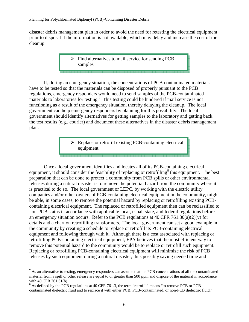disaster debris management plan in order to avoid the need for retesting the electrical equipment prior to disposal if the information is not available, which may delay and increase the cost of the cleanup.

> $\triangleright$  Find alternatives to mail service for sending PCB samples

If, during an emergency situation, the concentrations of PCB-contaminated materials have to be tested so that the materials can be disposed of properly pursuant to the PCB regulations, emergency responders would need to send samples of the PCB-contaminated materials to laboratories for testing.<sup>7</sup> This testing could be hindered if mail service is not functioning as a result of the emergency situation, thereby delaying the cleanup. The local government can help emergency responders by planning for this possibility. The local government should identify alternatives for getting samples to the laboratory and getting back the test results (e.g., courier) and document these alternatives in the disaster debris management plan.

> $\triangleright$  Replace or retrofill existing PCB-containing electrical equipment

Once a local government identifies and locates all of its PCB-containing electrical equipment, it should consider the feasibility of replacing or retrofilling<sup>8</sup> this equipment. The best preparation that can be done to protect a community from PCB spills or other environmental releases during a natural disaster is to remove the potential hazard from the community where it is practical to do so. The local government or LEPC, by working with the electric utility companies and/or other owners of PCB-containing electrical equipment in the community, might be able, in some cases, to remove the potential hazard by replacing or retrofilling existing PCBcontaining electrical equipment. The replaced or retrofilled equipment then can be reclassified to non-PCB status in accordance with applicable local, tribal, state, and federal regulations before an emergency situation occurs. Refer to the PCB regulations at 40 CFR 761.30(a)(2)(v) for details and a chart on retrofilling transformers. The local government can set a good example in the community by creating a schedule to replace or retrofill its PCB-containing electrical equipment and following through with it. Although there is a cost associated with replacing or retrofilling PCB-containing electrical equipment, EPA believes that the most efficient way to remove this potential hazard to the community would be to replace or retrofill such equipment. Replacing or retrofilling PCB-containing electrical equipment will minimize the risk of PCB releases by such equipment during a natural disaster, thus possibly saving needed time and

 $\overline{a}$  $<sup>7</sup>$  As an alternative to testing, emergency responders can assume that the PCB concentrations of all the contaminated</sup> material from a spill or other release are equal to or greater than 500 ppm and dispose of the material in accordance with 40 CFR 761.61(b).

 $8$  As defined by the PCB regulations at 40 CFR 761.3, the term "retrofill" means "to remove PCB or PCBcontaminated dielectric fluid and to replace it with either PCB, PCB-contaminated, or non-PCB dielectric fluid."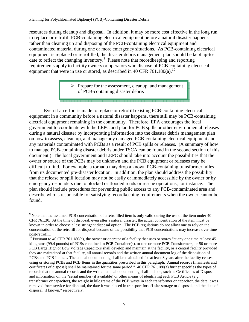resources during cleanup and disposal. In addition, it may be more cost effective in the long run to replace or retrofill PCB-containing electrical equipment before a natural disaster happens rather than cleaning up and disposing of the PCB-containing electrical equipment and contaminated material during one or more emergency situations. As PCB-containing electrical equipment is replaced or retrofilled, the disaster debris management plan should be kept up-todate to reflect the changing inventory.<sup>9</sup> Please note that recordkeeping and reporting requirements apply to facility owners or operators who dispose of PCB-containing electrical equipment that were in use or stored, as described in 40 CFR 761.180(a).<sup>10</sup>

> $\triangleright$  Prepare for the assessment, cleanup, and management of PCB-containing disaster debris

<br>- 미지 의원 전 전에 대한 전 전에 대한 전에 대한 전에 대한 전에 대한 전에 대한 전에 대한 전에 대한 전에 대한 전에 대한 전에 대한 전에 대한 전에 대한 이 전에 대한 전에 대한 전에 대한 전<br>- 이 전에 대한 전에 대한 전에 대한 전에 대한 전에 대한 전에 대한 전에 대한 전에 대한 전에 대한 전에 대한 전에 대한 전에 대한 전에 대한 전에 대한 전에 대한 전에 대한 전에 대한 전에

Even if an effort is made to replace or retrofill existing PCB-containing electrical equipment in a community before a natural disaster happens, there still may be PCB-containing electrical equipment remaining in the community. Therefore, EPA encourages the local government to coordinate with the LEPC and plan for PCB spills or other environmental releases during a natural disaster by incorporating information into the disaster debris management plan on how to assess, clean up, and manage any damaged PCB-containing electrical equipment and any materials contaminated with PCBs as a result of PCB spills or releases. (A summary of how to manage PCB-containing disaster debris under TSCA can be found in the second section of this document.) The local government and LEPC should take into account the possibilities that the owner or source of the PCBs may be unknown and the PCB equipment or releases may be difficult to find. For example, a tornado may drop a known PCB-containing transformer miles from its documented pre-disaster location. In addition, the plan should address the possibility that the release or spill location may not be easily or immediately accessible by the owner or by emergency responders due to blocked or flooded roads or rescue operations, for instance. The plan should include procedures for preventing public access to any PCB-contaminated area and describe who is responsible for satisfying recordkeeping requirements when the owner cannot be found.

<sup>&</sup>lt;sup>9</sup> Note that the assumed PCB concentration of a retrofilled item is only valid during the use of the item under 40 CFR 761.30. At the time of disposal, even after a natural disaster, the actual concentration of the item must be known in order to choose a less stringent disposal option. The PCB regulations do not allow one to rely on the concentration of the retrofill for disposal because of the possibility that PCB concentrations may increase over time post-retrofill.

 $^{10}$  Pursuant to 40 CFR 761.180(a), the owner or operator of a facility that uses or stores "at any one time at least 45 kilograms (99.4 pounds) of PCBs contained in PCB Container(s), or one or more PCB Transformers, or 50 or more PCB Large High or Low Voltage Capacitors shall develop and maintain at the facility, or a central facility provided they are maintained at that facility, all annual records and the written annual document log of the disposition of PCBs and PCB Items… The annual document log shall be maintained for at least 3 years after the facility ceases using or storing PCBs and PCB Items in the quantities prescribed in this paragraph. Annual records (manifests and certificates of disposal) shall be maintained for the same period." 40 CFR 761.180(a) further specifies the types of records that the annual records and the written annual document log shall include, such as Certificates of Disposal and information on the "serial number (if available) or other means of identifying each PCB Article (e.g., transformer or capacitor), the weight in kilograms of the PCB waste in each transformer or capacitor, the date it was removed from service for disposal, the date it was placed in transport for off-site storage or disposal, and the date of disposal, if known," respectively.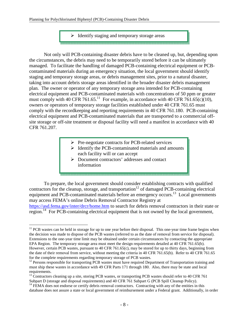$\triangleright$  Identify staging and temporary storage areas

Not only will PCB-containing disaster debris have to be cleaned up, but, depending upon the circumstances, the debris may need to be temporarily stored before it can be ultimately managed. To facilitate the handling of damaged PCB-containing electrical equipment or PCBcontaminated materials during an emergency situation, the local government should identify staging and temporary storage areas, or debris management sites, prior to a natural disaster, taking into account debris storage areas identified in the broader disaster debris management plan. The owner or operator of any temporary storage area intended for PCB-containing electrical equipment and PCB-contaminated materials with concentrations of 50 ppm or greater must comply with 40 CFR 761.65.<sup>11</sup> For example, in accordance with 40 CFR 761.65(c)(10), owners or operators of temporary storage facilities established under 40 CFR 761.65 must comply with the recordkeeping and reporting requirements in 40 CFR 761.180. PCB-containing electrical equipment and PCB-contaminated materials that are transported to a commercial offsite storage or off-site treatment or disposal facility will need a manifest in accordance with 40 CFR 761.207.

- $\triangleright$  Pre-negotiate contracts for PCB-related services
- $\triangleright$  Identify the PCB-contaminated materials and amounts each facility will or can accept
- Document contractors' addresses and contact information

To prepare, the local government should consider establishing contracts with qualified contractors for the cleanup, storage, and transportation<sup>12</sup> of damaged PCB-containing electrical equipment and PCB-contaminated materials before an emergency occurs.<sup>13</sup> Local governments may access FEMA's online Debris Removal Contractor Registry at

https://asd.fema.gov/inter/drcr/home.htm to search for debris removal contractors in their state or region.<sup>14</sup> For PCB-containing electrical equipment that is not owned by the local government,

<u>.</u>

 $11$  PCB wastes can be held in storage for up to one year before their disposal. This one-year time frame begins when the decision was made to dispose of the PCB wastes (referred to as the date of removal from service for disposal). Extensions to the one-year time limit may be obtained under certain circumstances by contacting the appropriate EPA Region. The temporary storage area must meet the design requirements detailed at 40 CFR 761.65(b). However, certain PCB wastes, pursuant to 40 CFR 761.65(c), may be stored for up to thirty days, beginning from the date of their removal from service, without meeting the criteria in 40 CFR 761.65(b). Refer to 40 CFR 761.65 for the complete requirements regarding temporary storage of PCB wastes.

<sup>&</sup>lt;sup>12</sup> Persons responsible for transporting PCB wastes must have required Department of Transportation training and must ship these wastes in accordance with 49 CFR Parts 171 through 180. Also, there may be state and local requirements.

<sup>&</sup>lt;sup>13</sup> Contractors cleaning up a site, storing PCB wastes, or transporting PCB wastes should refer to 40 CFR 761 Subpart D (storage and disposal requirements) and 40 CFR 761 Subpart G (PCB Spill Cleanup Policy).

<sup>&</sup>lt;sup>14</sup> FEMA does not endorse or certify debris removal contractors. Contracting with any of the entities in this database does not assure a state or local government of reimbursement under a Federal grant. Additionally, in order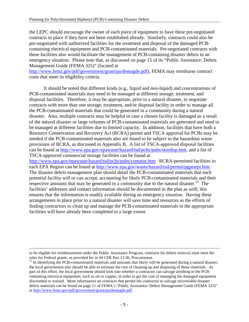the LEPC should encourage the owner of each piece of equipment to have these pre-negotiated contracts in place if they have not been established already. Similarly, contracts could also be pre-negotiated with authorized facilities for the treatment and disposal of the damaged PCBcontaining electrical equipment and PCB-contaminated materials. Pre-negotiated contracts with these facilities also would facilitate the management of PCB-containing disaster debris in an emergency situation. Please note that, as discussed on page 15 of its "Public Assistance: Debris Management Guide (FEMA 325)" (located at

http://www.fema.gov/pdf/government/grant/pa/demagde.pdf), FEMA may reimburse contract costs that meet its eligibility criteria.

It should be noted that different kinds (e.g., liquid and non-liquid) and concentrations of PCB-contaminated materials may need to be managed at different storage, treatment, and disposal facilities. Therefore, it may be appropriate, prior to a natural disaster, to negotiate contracts with more than one storage, treatment, and/or disposal facility in order to manage all the PCB-contaminated materials that could be generated in a community during a natural disaster. Also, multiple contracts may be helpful in case a chosen facility is damaged as a result of the natural disaster or large volumes of PCB-contaminated materials are generated and need to be managed at different facilities due to limited capacity. In addition, facilities that have both a Resource Conservation and Recovery Act (RCRA) permit and TSCA approval for PCBs may be needed if the PCB-contaminated materials also are found to be subject to the hazardous waste provisions of RCRA, as discussed in Appendix B. A list of TSCA-approved disposal facilities can be found at http://www.epa.gov/epawaste/hazard/tsd/pcbs/pubs/stordisp.htm, and a list of TSCA-approved commercial storage facilities can be found at http://www.epa.gov/epawaste/hazard/tsd/pcbs/pubs/comstor.htm. RCRA-permitted facilities in each EPA Region can be found at http://www.epa.gov/waste/hazard/tsd/permit/pgprarpt.htm. The disaster debris management plan should detail the PCB-contaminated materials that each potential facility will or can accept, accounting for likely PCB-contaminated materials and their respective amounts that may be generated in a community due to the natural disaster.<sup>15</sup> The facilities' addresses and contact information should be documented in the plan as well; this ensures that the information is readily available during an emergency situation. Having these arrangements in place prior to a natural disaster will save time and resources as the efforts of finding contractors to clean up and manage the PCB-contaminated materials in the appropriate facilities will have already been completed to a large extent.

<u>.</u>

to be eligible for reimbursement under the Public Assistance Program, contracts for debris removal must meet the rules for Federal grants, as provided for in 44 CFR Part 13.36, Procurement.

 $15$  In identifying the PCB-contaminated materials and amounts that likely will be generated during a natural disaster, the local government also should be able to estimate the cost of cleaning up and disposing of those materials. As part of this effort, the local government should look into whether a contractor can salvage anything in the PCBcontaining electrical equipment, such as oil or copper, in order to get the cost of managing the damaged equipment discounted or waived. More information on contracts that permit the contractor to salvage recoverable disaster debris materials can be found on page 11 of FEMA's "Public Assistance: Debris Management Guide (FEMA 325)" at http://www.fema.gov/pdf/government/grant/pa/demagde.pdf.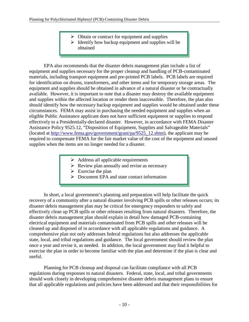- $\triangleright$  Obtain or contract for equipment and supplies
- $\triangleright$  Identify how backup equipment and supplies will be obtained

EPA also recommends that the disaster debris management plan include a list of equipment and supplies necessary for the proper cleanup and handling of PCB-contaminated materials, including transport equipment and pre-printed PCB labels. PCB labels are required for identification on drums, transformers, and other items and for temporary storage areas. The equipment and supplies should be obtained in advance of a natural disaster or be contractually available. However, it is important to note that a disaster may destroy the available equipment and supplies within the affected location or render them inaccessible. Therefore, the plan also should identify how the necessary backup equipment and supplies would be obtained under these circumstances. FEMA may assist in purchasing the needed equipment and supplies when an eligible Public Assistance applicant does not have sufficient equipment or supplies to respond effectively to a Presidentially-declared disaster. However, in accordance with FEMA Disaster Assistance Policy 9525.12, "Disposition of Equipment, Supplies and Salvageable Materials" (located at http://www.fema.gov/government/grant/pa/9525\_12.shtm), the applicant may be required to compensate FEMA for the fair market value of the cost of the equipment and unused supplies when the items are no longer needed for a disaster.

- $\triangleright$  Address all applicable requirements
- $\triangleright$  Review plan annually and revise as necessary
- $\triangleright$  Exercise the plan
- ▶ Document EPA and state contact information

In short, a local government's planning and preparation will help facilitate the quick recovery of a community after a natural disaster involving PCB spills or other releases occurs; its disaster debris management plan may be critical for emergency responders to safely and effectively clean up PCB spills or other releases resulting from natural disasters. Therefore, the disaster debris management plan should explain in detail how damaged PCB-containing electrical equipment and materials contaminated from PCB spills and other releases will be cleaned up and disposed of in accordance with all applicable regulations and guidance. A comprehensive plan not only addresses federal regulations but also addresses the applicable state, local, and tribal regulations and guidance. The local government should review the plan once a year and revise it, as needed. In addition, the local government may find it helpful to exercise the plan in order to become familiar with the plan and determine if the plan is clear and useful.

Planning for PCB cleanup and disposal can facilitate compliance with all PCB regulations during responses to natural disasters. Federal, state, local, and tribal governments should work closely in developing comprehensive disaster debris management plans to ensure that all applicable regulations and policies have been addressed and that their responsibilities for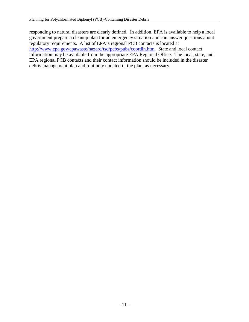responding to natural disasters are clearly defined. In addition, EPA is available to help a local government prepare a cleanup plan for an emergency situation and can answer questions about regulatory requirements. A list of EPA's regional PCB contacts is located at http://www.epa.gov/epawaste/hazard/tsd/pcbs/pubs/coordin.htm. State and local contact information may be available from the appropriate EPA Regional Office. The local, state, and EPA regional PCB contacts and their contact information should be included in the disaster debris management plan and routinely updated in the plan, as necessary.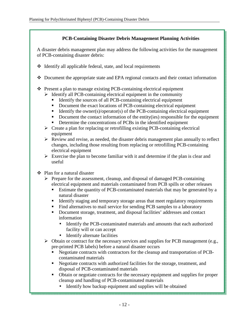#### **PCB-Containing Disaster Debris Management Planning Activities**

A disaster debris management plan may address the following activities for the management of PCB-containing disaster debris:

- Identify all applicable federal, state, and local requirements
- Document the appropriate state and EPA regional contacts and their contact information
- Present a plan to manage existing PCB-containing electrical equipment
	- $\triangleright$  Identify all PCB-containing electrical equipment in the community
		- Identify the sources of all PCB-containing electrical equipment
		- Document the exact locations of PCB-containing electrical equipment
		- Identify the owner(s)/operator(s) of the PCB-containing electrical equipment
		- Document the contact information of the entity(ies) responsible for the equipment
		- Determine the concentrations of PCBs in the identified equipment
	- $\triangleright$  Create a plan for replacing or retrofilling existing PCB-containing electrical equipment
	- $\triangleright$  Review and revise, as needed, the disaster debris management plan annually to reflect changes, including those resulting from replacing or retrofilling PCB-containing electrical equipment
	- $\triangleright$  Exercise the plan to become familiar with it and determine if the plan is clear and useful
- Plan for a natural disaster
	- $\triangleright$  Prepare for the assessment, cleanup, and disposal of damaged PCB-containing electrical equipment and materials contaminated from PCB spills or other releases
		- Estimate the quantity of PCB-contaminated materials that may be generated by a natural disaster
		- Identify staging and temporary storage areas that meet regulatory requirements
		- Find alternatives to mail service for sending PCB samples to a laboratory
		- Document storage, treatment, and disposal facilities' addresses and contact information
			- Identify the PCB-contaminated materials and amounts that each authorized facility will or can accept
			- Identify alternate facilities
	- $\triangleright$  Obtain or contract for the necessary services and supplies for PCB management (e.g., pre-printed PCB labels) before a natural disaster occurs
		- Negotiate contracts with contractors for the cleanup and transportation of PCBcontaminated materials
		- Negotiate contracts with authorized facilities for the storage, treatment, and disposal of PCB-contaminated materials
		- Obtain or negotiate contracts for the necessary equipment and supplies for proper cleanup and handling of PCB-contaminated materials
			- Identify how backup equipment and supplies will be obtained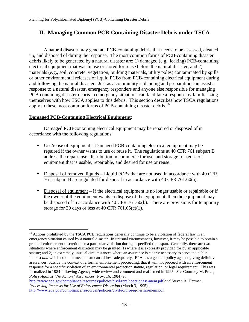## **II. Managing Common PCB-Containing Disaster Debris under TSCA**

 A natural disaster may generate PCB-containing debris that needs to be assessed, cleaned up, and disposed of during the response. The most common forms of PCB-containing disaster debris likely to be generated by a natural disaster are: 1) damaged (e.g., leaking) PCB-containing electrical equipment that was in use or stored for reuse before the natural disaster; and 2) materials (e.g., soil, concrete, vegetation, building materials, utility poles) contaminated by spills or other environmental releases of liquid PCBs from PCB-containing electrical equipment during and following the natural disaster. Just as a community's planning and preparation can assist a response to a natural disaster, emergency responders and anyone else responsible for managing PCB-containing disaster debris in emergency situations can facilitate a response by familiarizing themselves with how TSCA applies to this debris. This section describes how TSCA regulations apply to these most common forms of PCB-containing disaster debris.<sup>16</sup>

#### **Damaged PCB-Containing Electrical Equipment:**

Damaged PCB-containing electrical equipment may be repaired or disposed of in accordance with the following regulations:

- Use/reuse of equipment Damaged PCB-containing electrical equipment may be repaired if the owner wants to use or reuse it. The regulations at 40 CFR 761 subpart B address the repair, use, distribution in commerce for use, and storage for reuse of equipment that is usable, repairable, and desired for use or reuse.
- Disposal of removed liquids Liquid PCBs that are not used in accordance with 40 CFR 761 subpart B are regulated for disposal in accordance with 40 CFR 761.60(a).
- Disposal of equipment If the electrical equipment is no longer usable or repairable or if the owner of the equipment wants to dispose of the equipment, then the equipment may be disposed of in accordance with 40 CFR 761.60(b). There are provisions for temporary storage for 30 days or less at 40 CFR 761.65(c)(1).

http://www.epa.gov/compliance/resources/policies/civil/rcra/noactionass-mem.pdf *and* Steven A. Herman, *Processing Requests for Use of Enforcement Discretion* (March 3, 1995) at http://www.epa.gov/compliance/resources/policies/civil/io/proreq-hermn-mem.pdf.

<sup>&</sup>lt;u>.</u> <sup>16</sup> Actions prohibited by the TSCA PCB regulations generally continue to be a violation of federal law in an emergency situation caused by a natural disaster. In unusual circumstances, however, it may be possible to obtain a grant of enforcement discretion for a particular violation during a specified time span. Generally, there are two situations where enforcement discretion may be granted: 1) where it is expressly provided for by an applicable statute; and 2) in extremely unusual circumstances where an assurance is clearly necessary to serve the public interest *and* which no other mechanism can address adequately. EPA has a general policy against giving definitive assurances, outside the context of a formal enforcement proceeding, that it will not proceed with an enforcement response for a specific violation of an environmental protection statute, regulation, or legal requirement. This was formalized in 1984 following Agency-wide review and comment and reaffirmed in 1995. *See* Courtney M. Price, *Policy Against "No Action" Assurances* (Nov. 16, 1984) at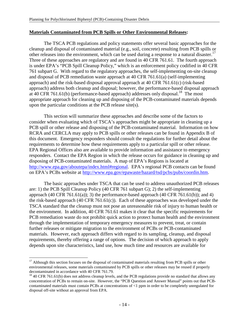#### **Materials Contaminated from PCB Spills or Other Environmental Releases:**

The TSCA PCB regulations and policy statements offer several basic approaches for the cleanup and disposal of contaminated material (e.g., soil, concrete) resulting from PCB spills or other releases into the environment, which can be used during a response to a natural disaster.<sup>17</sup> Three of these approaches are regulatory and are found in 40 CFR 761.61. The fourth approach is under EPA's "PCB Spill Cleanup Policy," which is an enforcement policy codified in 40 CFR 761 subpart G. With regard to the regulatory approaches, the self-implementing on-site cleanup and disposal of PCB remediation waste approach at 40 CFR 761.61(a) (self-implementing approach) and the risk-based disposal approval approach at 40 CFR 761.61(c) (risk-based approach) address both cleanup and disposal; however, the performance-based disposal approach at 40 CFR 761.61(b) (performance-based approach) addresses only disposal.<sup>18</sup> The most appropriate approach for cleaning up and disposing of the PCB-contaminated materials depends upon the particular conditions at the PCB release site(s).

This section will summarize these approaches and describe some of the factors to consider when evaluating which of TSCA's approaches might be appropriate in cleaning up a PCB spill or other release and disposing of the PCB-contaminated material. Information on how RCRA and CERCLA may apply to PCB spills or other releases can be found in Appendix B of this document. Emergency responders should consult the regulations for further detail about the requirements to determine how these requirements apply to a particular spill or other release. EPA Regional Offices also are available to provide information and assistance to emergency responders. Contact the EPA Region in which the release occurs for guidance in cleaning up and disposing of PCB-contaminated materials. A map of EPA's Regions is located at http://www.epa.gov/aboutepa/index.html#regional. EPA's regional PCB contacts can be found on EPA's PCBs website at http://www.epa.gov/epawaste/hazard/tsd/pcbs/pubs/coordin.htm.

The basic approaches under TSCA that can be used to address unauthorized PCB releases are: 1) the PCB Spill Cleanup Policy (40 CFR 761 subpart G); 2) the self-implementing approach  $(40 \text{ CFR } 761.61(a))$ ; 3) the performance-based approach  $(40 \text{ CFR } 761.61(b))$ ; and 4) the risk-based approach (40 CFR 761.61(c)). Each of these approaches was developed under the TSCA standard that the cleanup must not pose an unreasonable risk of injury to human health or the environment. In addition, 40 CFR 761.61 makes it clear that the specific requirements for PCB remediation waste do not prohibit quick action to protect human health and the environment through the implementation of temporary emergency measures to prevent, treat, or contain further releases or mitigate migration to the environment of PCBs or PCB-contaminated materials. However, each approach differs with regard to its sampling, cleanup, and disposal requirements, thereby offering a range of options. The decision of which approach to apply depends upon site characteristics, land use, how much time and resources are available for

<u>.</u>

<sup>&</sup>lt;sup>17</sup> Although this section focuses on the disposal of contaminated materials resulting from PCB spills or other environmental releases, some materials contaminated by PCB spills or other releases may be reused if properly decontaminated in accordance with 40 CFR 761.79.

 $18/40$  CFR 761.61(b) does not address cleanup levels, and the PCB regulations provide no standard that allows any concentration of PCBs to remain on-site. However, the "PCB Question and Answer Manual" points out that PCBcontaminated materials must contain PCBs at concentrations of <1 ppm in order to be completely unregulated for disposal off-site without an approval from EPA.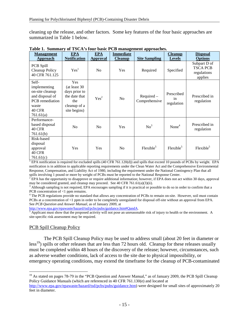cleaning up the release, and other factors. Some key features of the four basic approaches are summarized in Table 1 below.

| <b>Management</b>                                                                                                            | <b>EPA</b>                                                                                   | <b>EPA</b>       | <b>Immediate</b> |                             | <b>Cleanup</b>                 | <b>Disposal</b>                                           |
|------------------------------------------------------------------------------------------------------------------------------|----------------------------------------------------------------------------------------------|------------------|------------------|-----------------------------|--------------------------------|-----------------------------------------------------------|
| <b>Approach</b>                                                                                                              | <b>Notification</b>                                                                          | Approval         | <b>Cleanup</b>   | <b>Site Sampling</b>        | <b>Levels</b>                  | <b>Options</b>                                            |
| PCB Spill<br>Cleanup Policy<br>40 CFR 761.125                                                                                | Yes <sup>1</sup>                                                                             | N <sub>0</sub>   | Yes              | Required                    | Specified                      | Subpart D of<br><b>TSCA PCB</b><br>regulations<br>applies |
| Self-<br>implementing<br>on-site cleanup<br>and disposal of<br><b>PCB</b> remediation<br>waste<br><b>40 CFR</b><br>761.61(a) | Yes<br>(at least 30<br>days prior to<br>the date that<br>the<br>cleanup of a<br>site begins) | Yes <sup>2</sup> | N <sub>o</sub>   | Required -<br>Comprehensive | Prescribed<br>in<br>regulation | Prescribed in<br>regulation                               |
| Performance-<br>based disposal<br><b>40 CFR</b><br>761.61(b)                                                                 | N <sub>o</sub>                                                                               | N <sub>0</sub>   | Yes              | No <sup>3</sup>             | None $4$                       | Prescribed in<br>regulation                               |
| Risk-based<br>disposal<br>approval<br><b>40 CFR</b><br>761.61(c)                                                             | Yes                                                                                          | Yes              | N <sub>o</sub>   | Flexible <sup>5</sup>       | Flexible <sup>5</sup>          | Flexible <sup>5</sup>                                     |

|  | Table 1. Summary of TSCA's four basic PCB management approaches. |  |  |
|--|------------------------------------------------------------------|--|--|
|  |                                                                  |  |  |

<sup>1</sup> EPA notification is required for excluded spills (40 CFR 761.120(d)) and spills that exceed 10 pounds of PCBs by weight. EPA notification is in addition to applicable reporting requirements under the Clean Water Act and the Comprehensive Environmental Response, Compensation, and Liability Act of 1980, including the requirement under the National Contingency Plan that all

spills involving 1 pound or more by weight of PCBs must be reported to the National Response Center.<br><sup>2</sup> EPA has the opportunity to disapprove or require additional information; however, if EPA does not act within 30 days,

may be considered granted, and cleanup may proceed. See 40 CFR 761.61(a)(3)(ii).<br><sup>3</sup> Although sampling is not required, EPA encourages sampling if it is practical or possible to do so in order to confirm that a PCB concentration of <1 ppm remains.

<sup>4</sup> The PCB regulations provide no standard that allows any concentration of PCBs to remain on-site. However, soil must contain PCBs at a concentration of <1 ppm in order to be completely unregulated for disposal off-site without an approval from EPA. See *PCB Question and Answer Manual*, as of January 2009, at

http://www.epa.gov/epawaste/hazard/tsd/pcbs/pubs/guidance.htm#QandA.

 $<sup>5</sup>$  Applicant must show that the proposed activity will not pose an unreasonable risk of injury to health or the environment. A</sup> site-specific risk assessment may be required.

#### PCB Spill Cleanup Policy

 $\overline{a}$ 

The PCB Spill Cleanup Policy may be used to address small (about 20 feet in diameter or  $\text{less}^{19}$ ) spills or other releases that are less than 72 hours old. Cleanup for these releases usually must be completed within 48 hours of the discovery of the release; however, circumstances, such as adverse weather conditions, lack of access to the site due to physical impossibility, or emergency operating conditions, may extend the timeframe for the cleanup of PCB-contaminated

<sup>&</sup>lt;sup>19</sup> As stated on pages 78-79 in the "PCB Question and Answer Manual," as of January 2009, the PCB Spill Cleanup Policy Guidance Manuals (which are referenced in 40 CFR 761.130(e) and located at http://www.epa.gov/epawaste/hazard/tsd/pcbs/pubs/guidance.htm) were designed for small sites of approximately 20 feet in diameter.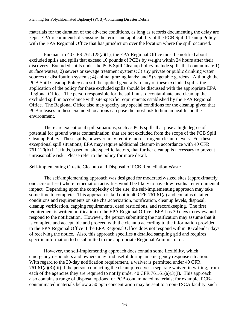materials for the duration of the adverse conditions, as long as records documenting the delay are kept. EPA recommends discussing the terms and applicability of the PCB Spill Cleanup Policy with the EPA Regional Office that has jurisdiction over the location where the spill occurred.

Pursuant to 40 CFR 761.125(a)(1), the EPA Regional Office must be notified about excluded spills and spills that exceed 10 pounds of PCBs by weight within 24 hours after their discovery. Excluded spills under the PCB Spill Cleanup Policy include spills that contaminate 1) surface waters; 2) sewers or sewage treatment systems; 3) any private or public drinking water sources or distribution systems; 4) animal grazing lands; and 5) vegetable gardens. Although the PCB Spill Cleanup Policy can still be applied generally to any of these excluded spills, the application of the policy for these excluded spills should be discussed with the appropriate EPA Regional Office. The person responsible for the spill must decontaminate and clean up the excluded spill in accordance with site-specific requirements established by the EPA Regional Office. The Regional Office also may specify any special conditions for the cleanup given that PCB releases in these excluded locations can pose the most risk to human health and the environment.

There are exceptional spill situations, such as PCB spills that pose a high degree of potential for ground water contamination, that are not excluded from the scope of the PCB Spill Cleanup Policy. These spills, however, may require more stringent cleanup levels. For these exceptional spill situations, EPA may require additional cleanup in accordance with 40 CFR 761.120(b) if it finds, based on site-specific factors, that further cleanup is necessary to prevent unreasonable risk. Please refer to the policy for more detail.

#### Self-implementing On-site Cleanup and Disposal of PCB Remediation Waste

The self-implementing approach was designed for moderately-sized sites (approximately one acre or less) where remediation activities would be likely to have low residual environmental impact. Depending upon the complexity of the site, the self-implementing approach may take some time to complete. This approach is laid out in 40 CFR 761.61(a) and contains detailed conditions and requirements on site characterization, notification, cleanup levels, disposal, cleanup verification, capping requirements, deed restrictions, and recordkeeping. The first requirement is written notification to the EPA Regional Office. EPA has 30 days to review and respond to the notification. However, the person submitting the notification may assume that it is complete and acceptable and proceed with the cleanup according to the information provided to the EPA Regional Office if the EPA Regional Office does not respond within 30 calendar days of receiving the notice. Also, this approach specifies a detailed sampling grid and requires specific information to be submitted to the appropriate Regional Administrator.

However, the self-implementing approach does contain some flexibility, which emergency responders and owners may find useful during an emergency response situation. With regard to the 30-day notification requirement, a waiver is permitted under 40 CFR 761.61(a)(3)(iii) if the person conducting the cleanup receives a separate waiver, in writing, from each of the agencies they are required to notify under 40 CFR 761.61(a)(3)(i). This approach also contains a range of disposal options for PCB-contaminated materials; for example, PCBcontaminated materials below a 50 ppm concentration may be sent to a non-TSCA facility, such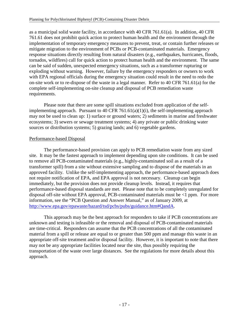as a municipal solid waste facility, in accordance with 40 CFR 761.61(a). In addition, 40 CFR 761.61 does not prohibit quick action to protect human health and the environment through the implementation of temporary emergency measures to prevent, treat, or contain further releases or mitigate migration to the environment of PCBs or PCB-contaminated materials. Emergency response situations directly resulting from natural disasters (e.g., earthquakes, hurricanes, floods, tornados, wildfires) call for quick action to protect human health and the environment. The same can be said of sudden, unexpected emergency situations, such as a transformer rupturing or exploding without warning. However, failure by the emergency responders or owners to work with EPA regional officials during the emergency situation could result in the need to redo the on-site work or to re-dispose of the waste in a legal manner. Refer to 40 CFR 761.61(a) for the complete self-implementing on-site cleanup and disposal of PCB remediation waste requirements.

Please note that there are some spill situations excluded from application of the selfimplementing approach. Pursuant to 40 CFR 761.61(a)(1)(i), the self-implementing approach may not be used to clean up: 1) surface or ground waters; 2) sediments in marine and freshwater ecosystems; 3) sewers or sewage treatment systems; 4) any private or public drinking water sources or distribution systems; 5) grazing lands; and 6) vegetable gardens.

#### Performance-based Disposal

The performance-based provision can apply to PCB remediation waste from any sized site. It may be the fastest approach to implement depending upon site conditions. It can be used to remove all PCB-contaminated materials (e.g., highly-contaminated soil as a result of a transformer spill) from a site without extensive sampling and to dispose of the materials in an approved facility. Unlike the self-implementing approach, the performance-based approach does not require notification of EPA, and EPA approval is not necessary. Cleanup can begin immediately, but the provision does not provide cleanup levels. Instead, it requires that performance-based disposal standards are met. Please note that to be completely unregulated for disposal off-site without EPA approval, PCB-contaminated materials must be <1 ppm. For more information, see the "PCB Question and Answer Manual," as of January 2009, at http://www.epa.gov/epawaste/hazard/tsd/pcbs/pubs/guidance.htm#QandA.

This approach may be the best approach for responders to take if PCB concentrations are unknown and testing is infeasible or the removal and disposal of PCB-contaminated materials are time-critical. Responders can assume that the PCB concentrations of all the contaminated material from a spill or release are equal to or greater than 500 ppm and manage this waste in an appropriate off-site treatment and/or disposal facility. However, it is important to note that there may not be any appropriate facilities located near the site, thus possibly requiring the transportation of the waste over large distances. See the regulations for more details about this approach.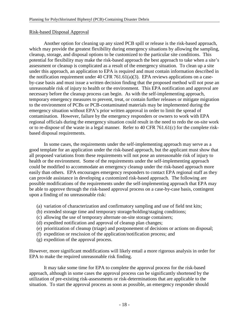#### Risk-based Disposal Approval

Another option for cleaning up any sized PCB spill or release is the risk-based approach, which may provide the greatest flexibility during emergency situations by allowing the sampling, cleanup, storage, and disposal options to be customized to the particular site conditions. This potential for flexibility may make the risk-based approach the best approach to take when a site's assessment or cleanup is complicated as a result of the emergency situation. To clean up a site under this approach, an application to EPA is required and must contain information described in the notification requirement under 40 CFR 761.61(a)(3). EPA reviews applications on a caseby-case basis and must issue a written decision finding that the proposed method will not pose an unreasonable risk of injury to health or the environment. This EPA notification and approval are necessary before the cleanup process can begin. As with the self-implementing approach, temporary emergency measures to prevent, treat, or contain further releases or mitigate migration to the environment of PCBs or PCB-contaminated materials may be implemented during the emergency situation without EPA's prior written approval in order to limit the spread of contamination. However, failure by the emergency responders or owners to work with EPA regional officials during the emergency situation could result in the need to redo the on-site work or to re-dispose of the waste in a legal manner. Refer to 40 CFR 761.61(c) for the complete riskbased disposal requirements.

In some cases, the requirements under the self-implementing approach may serve as a good template for an application under the risk-based approach, but the applicant must show that all proposed variations from these requirements will not pose an unreasonable risk of injury to health or the environment. Some of the requirements under the self-implementing approach could be modified to accommodate an emergency cleanup under the risk-based approach more easily than others. EPA encourages emergency responders to contact EPA regional staff as they can provide assistance in developing a customized risk-based approach. The following are possible modifications of the requirements under the self-implementing approach that EPA may be able to approve through the risk-based approval process on a case-by-case basis, contingent upon a finding of no unreasonable risk:

- (a) variation of characterization and confirmatory sampling and use of field test kits;
- (b) extended storage time and temporary storage/holding/staging conditions;
- (c) allowing the use of temporary alternate on-site storage containers;
- (d) expedited notification and approval of cleanup plan changes;
- (e) prioritization of cleanup (triage) and postponement of decisions or actions on disposal;
- (f) expedition or rescission of the application/notification process; and
- (g) expedition of the approval process.

However, more significant modifications will likely entail a more rigorous analysis in order for EPA to make the required unreasonable risk finding.

It may take some time for EPA to complete the approval process for the risk-based approach, although in some cases the approval process can be significantly shortened by the utilization of pre-existing risk-assessments or risk-determinations that are applicable to the situation. To start the approval process as soon as possible, an emergency responder should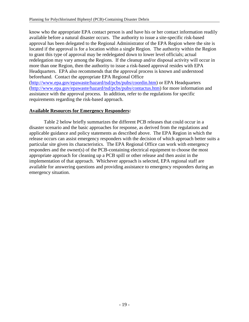know who the appropriate EPA contact person is and have his or her contact information readily available before a natural disaster occurs. The authority to issue a site-specific risk-based approval has been delegated to the Regional Administrator of the EPA Region where the site is located if the approval is for a location within a single Region. The authority within the Region to grant this type of approval may be redelegated down to lower level officials; actual redelegation may vary among the Regions. If the cleanup and/or disposal activity will occur in more than one Region, then the authority to issue a risk-based approval resides with EPA Headquarters. EPA also recommends that the approval process is known and understood beforehand. Contact the appropriate EPA Regional Office (http://www.epa.gov/epawaste/hazard/tsd/pcbs/pubs/coordin.htm) or EPA Headquarters (http://www.epa.gov/epawaste/hazard/tsd/pcbs/pubs/contactus.htm) for more information and assistance with the approval process. In addition, refer to the regulations for specific requirements regarding the risk-based approach.

#### **Available Resources for Emergency Responders:**

Table 2 below briefly summarizes the different PCB releases that could occur in a disaster scenario and the basic approaches for response, as derived from the regulations and applicable guidance and policy statements as described above. The EPA Region in which the release occurs can assist emergency responders with the decision of which approach better suits a particular site given its characteristics. The EPA Regional Office can work with emergency responders and the owner(s) of the PCB-containing electrical equipment to choose the most appropriate approach for cleaning up a PCB spill or other release and then assist in the implementation of that approach. Whichever approach is selected, EPA regional staff are available for answering questions and providing assistance to emergency responders during an emergency situation.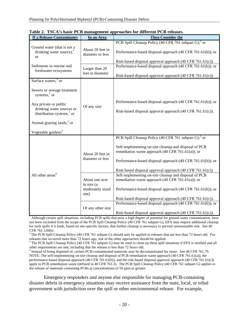| <b>If a Release Contaminates</b>                                            | In an Area                           | <b>Then Consider the</b>                                                                                                |  |  |
|-----------------------------------------------------------------------------|--------------------------------------|-------------------------------------------------------------------------------------------------------------------------|--|--|
|                                                                             |                                      | PCB Spill Cleanup Policy (40 CFR 761 subpart G); <sup>2</sup> or                                                        |  |  |
| Ground water (that is not a<br>drinking water source), $1$<br><sub>or</sub> | About 20 feet in<br>diameter or less | Performance-based disposal approach (40 CFR 761.61(b)); or                                                              |  |  |
|                                                                             |                                      | Risk-based disposal approval approach (40 CFR 761.61(c)).                                                               |  |  |
| Sediments in marine and<br>freshwater ecosystems                            | Larger than 20<br>feet in diameter   | Performance-based disposal approach (40 CFR 761.61(b)); or<br>Risk-based disposal approval approach (40 CFR 761.61(c)). |  |  |
| Surface waters, $3$ or                                                      |                                      |                                                                                                                         |  |  |
|                                                                             |                                      |                                                                                                                         |  |  |
| Sewers or sewage treatment<br>systems, $3$ or                               |                                      |                                                                                                                         |  |  |
|                                                                             |                                      | Performance-based disposal approach (40 CFR 761.61(b)); or                                                              |  |  |
| Any private or public<br>drinking water sources or                          | Of any size                          |                                                                                                                         |  |  |
| distribution systems, $3$ or                                                |                                      | Risk-based disposal approval approach (40 CFR 761.61(c)).                                                               |  |  |
|                                                                             |                                      |                                                                                                                         |  |  |
| Animal grazing lands, $3$ or                                                |                                      |                                                                                                                         |  |  |
| Vegetable gardens <sup>3</sup>                                              |                                      |                                                                                                                         |  |  |
|                                                                             |                                      | PCB Spill Cleanup Policy (40 CFR 761 subpart G); <sup>2</sup> or                                                        |  |  |
|                                                                             | About 20 feet in<br>diameter or less | Self-implementing on-site cleanup and disposal of PCB<br>remediation waste approach (40 CFR 761.61(a)); or              |  |  |
|                                                                             |                                      | Performance-based disposal approach (40 CFR 761.61(b)); or                                                              |  |  |
|                                                                             |                                      | Risk-based disposal approval approach (40 CFR 761.61(c)).                                                               |  |  |
| All other areas <sup>4</sup>                                                |                                      | Self-implementing on-site cleanup and disposal of PCB                                                                   |  |  |
|                                                                             | About one acre                       | remediation waste approach $(40 \text{ CFR } 761.61(a))$ ; or                                                           |  |  |
|                                                                             | in size (a                           |                                                                                                                         |  |  |
|                                                                             | moderately sized<br>site)            | Performance-based disposal approach (40 CFR 761.61(b)); or                                                              |  |  |
|                                                                             |                                      | Risk-based disposal approval approach (40 CFR 761.61(c)).                                                               |  |  |
|                                                                             |                                      | Performance-based disposal approach (40 CFR 761.61(b)); or                                                              |  |  |
|                                                                             | Of any other size                    |                                                                                                                         |  |  |
|                                                                             |                                      | Risk-based disposal approval approach (40 CFR 761.61(c)).                                                               |  |  |

|  |  |  | Table 2. TSCA's basic PCB management approaches for different PCB releases. |
|--|--|--|-----------------------------------------------------------------------------|
|--|--|--|-----------------------------------------------------------------------------|

<sup>1</sup> Although certain spill situations, including PCB spills that pose a high degree of potential for ground water contamination, have not been excluded from the scope of the PCB Spill Cleanup Policy (40 CFR 761 subpart G), EPA may require additional cleanup for such spills if it finds, based on site-specific factors, that further cleanup is necessary to prevent unreasonable risk. See 40 CFR 761.120(b).

<sup>2</sup>The PCB Spill Cleanup Policy (40 CFR 761 subpart G) should only be applied to releases that are less than 72 hours old. For releases that occurred more than 72 hours ago, one of the other approaches should be applied.

<sup>3</sup> The PCB Spill Cleanup Policy (40 CFR 761 subpart G) may be used to clean up these spill situations if EPA is notified and all other requirements are met, including that the release is less than 72 hours old.

4 Instead of being disposed of, certain PCB-contaminated materials may be decontaminated for reuse. See 40 CFR 761.79. NOTE: The self-implementing on-site cleanup and disposal of PCB remediation waste approach (40 CFR 761.61(a)), the performance-based disposal approach (40 CFR 761.61(b)), and the risk-based disposal approval approach (40 CFR 761.61(c)) apply to PCB remediation waste (defined in 40 CFR 761.3). The PCB Spill Cleanup Policy (40 CFR 761 subpart G) applies to the release of materials containing PCBs at concentrations of 50 ppm or greater.

Emergency responders and anyone else responsible for managing PCB-containing disaster debris in emergency situations may receive assistance from the state, local, or tribal government with jurisdiction over the spill or other environmental release. For example,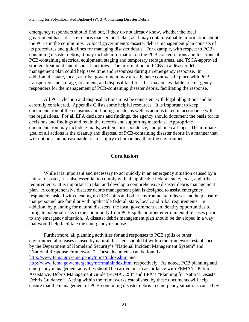emergency responders should find out, if they do not already know, whether the local government has a disaster debris management plan, as it may contain valuable information about the PCBs in the community. A local government's disaster debris management plan consists of its procedures and guidelines for managing disaster debris. For example, with respect to PCBcontaining disaster debris, it may include information on the PCB concentrations and locations of PCB-containing electrical equipment, staging and temporary storage areas, and TSCA-approved storage, treatment, and disposal facilities. The information on PCBs in a disaster debris management plan could help save time and resources during an emergency response. In addition, the state, local, or tribal government may already have contracts in place with PCB transporters and storage, treatment, and disposal facilities that may be available to emergency responders for the management of PCB-containing disaster debris, facilitating the response.

All PCB cleanup and disposal actions must be consistent with legal obligations and be carefully considered. Appendix C lists some helpful resources. It is important to keep documentation of the decisions and findings made, as well as actions taken in accordance with the regulations. For all EPA decisions and findings, the agency should document the basis for its decisions and findings and retain the records and supporting materials. Appropriate documentation may include e-mails, written correspondence, and phone call logs. The ultimate goal of all actions is the cleanup and disposal of PCB-containing disaster debris in a manner that will not pose an unreasonable risk of injury to human health or the environment.

## **Conclusion**

While it is important and necessary to act quickly in an emergency situation caused by a natural disaster, it is also essential to comply with all applicable federal, state, local, and tribal requirements. It is important to plan and develop a comprehensive disaster debris management plan. A comprehensive disaster debris management plan is designed to assist emergency responders tasked with cleaning up PCB spills and other environmental releases and help ensure that personnel are familiar with applicable federal, state, local, and tribal requirements. In addition, by planning for natural disasters, the local government can identify opportunities to mitigate potential risks to the community from PCB spills or other environmental releases prior to any emergency situation. A disaster debris management plan should be developed in a way that would help facilitate the emergency response.

Furthermore, all planning activities for and responses to PCB spills or other environmental releases caused by natural disasters should fit within the framework established by the Department of Homeland Security's "National Incident Management System" and "National Response Framework." These documents can be found at http://www.fema.gov/emergency/nims/index.shtm and http://www.fema.gov/emergency/nrf/mainindex.htm, respectively. As noted, PCB planning and emergency management activities should be carried out in accordance with FEMA's "Public Assistance: Debris Management Guide (FEMA 325)" and EPA's "Planning for Natural Disaster Debris Guidance." Acting within the frameworks established by these documents will help ensure that the management of PCB-containing disaster debris in emergency situations caused by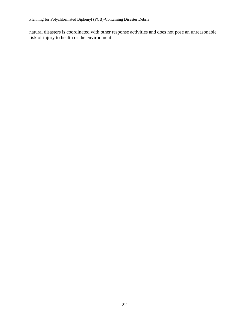natural disasters is coordinated with other response activities and does not pose an unreasonable risk of injury to health or the environment.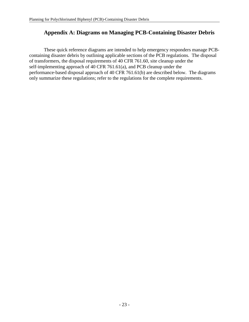## **Appendix A: Diagrams on Managing PCB-Containing Disaster Debris**

These quick reference diagrams are intended to help emergency responders manage PCBcontaining disaster debris by outlining applicable sections of the PCB regulations. The disposal of transformers, the disposal requirements of 40 CFR 761.60, site cleanup under the self-implementing approach of 40 CFR 761.61(a), and PCB cleanup under the performance-based disposal approach of 40 CFR 761.61(b) are described below. The diagrams only summarize these regulations; refer to the regulations for the complete requirements.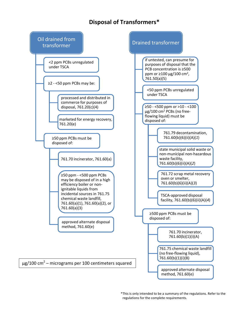## **Disposal of Transformers\***



\*This is only intended to be a summary of the regulations. Refer to the regulations for the complete requirements.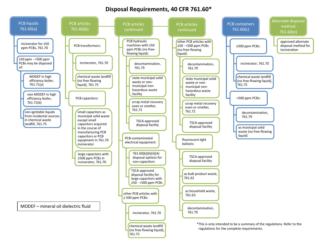## **Disposal Requirements, 40 CFR 761.60\***

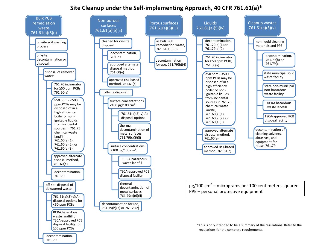## **Site Cleanup under the Self-implementing Approach, 40 CFR 761.61(a)\***

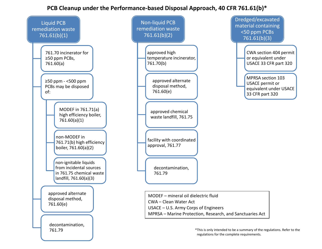## **PCB Cleanup under the Performance-based Disposal Approach, 40 CFR 761.61(b)\***

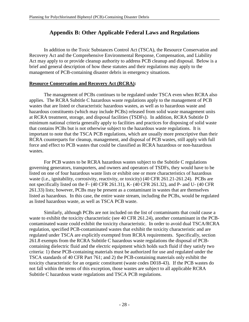## **Appendix B: Other Applicable Federal Laws and Regulations**

 In addition to the Toxic Substances Control Act (TSCA), the Resource Conservation and Recovery Act and the Comprehensive Environmental Response, Compensation, and Liability Act may apply to or provide cleanup authority to address PCB cleanup and disposal. Below is a brief and general description of how these statutes and their regulations may apply to the management of PCB-containing disaster debris in emergency situations.

#### **Resource Conservation and Recovery Act (RCRA):**

The management of PCBs continues to be regulated under TSCA even when RCRA also applies. The RCRA Subtitle C hazardous waste regulations apply to the management of PCB wastes that are listed or characteristic hazardous wastes, as well as to hazardous waste and hazardous constituents (which may include PCBs) released from solid waste management units at RCRA treatment, storage, and disposal facilities (TSDFs). In addition, RCRA Subtitle D minimum national criteria generally apply to facilities and practices for disposing of solid waste that contains PCBs but is not otherwise subject to the hazardous waste regulations. It is important to note that the TSCA PCB regulations, which are usually more prescriptive than their RCRA counterparts for cleanup, management, and disposal of PCB wastes, still apply with full force and effect to PCB wastes that could be classified as RCRA hazardous or non-hazardous wastes.

For PCB wastes to be RCRA hazardous wastes subject to the Subtitle C regulations governing generators, transporters, and owners and operators of TSDFs, they would have to be listed on one of four hazardous waste lists or exhibit one or more characteristics of hazardous waste (i.e., ignitability, corrosivity, reactivity, or toxicity) (40 CFR 261.21-261.24). PCBs are not specifically listed on the F- (40 CFR 261.31), K- (40 CFR 261.32), and P- and U- (40 CFR 261.33) lists; however, PCBs may be present as a contaminant in wastes that are themselves listed as hazardous. In this case, the entire waste stream, including the PCBs, would be regulated as listed hazardous waste, as well as TSCA PCB waste.

Similarly, although PCBs are not included on the list of contaminants that could cause a waste to exhibit the toxicity characteristic (see 40 CFR 261.24), another contaminant in the PCBcontaminated waste could exhibit the toxicity characteristic. In order to avoid dual TSCA/RCRA regulation, specified PCB-contaminated wastes that exhibit the toxicity characteristic and are regulated under TSCA are explicitly exempted from RCRA requirements. Specifically, section 261.8 exempts from the RCRA Subtitle C hazardous waste regulations the disposal of PCBcontaining dielectric fluid and the electric equipment which holds such fluid if they satisfy two criteria: 1) these PCB-containing materials must be authorized for use and regulated under the TSCA standards of 40 CFR Part 761; and 2) the PCB-containing materials only exhibit the toxicity characteristic for an organic constituent (waste codes D018-43). If the PCB wastes do not fall within the terms of this exception, those wastes are subject to all applicable RCRA Subtitle C hazardous waste regulations and TSCA PCB regulations.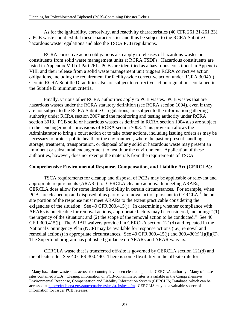As for the ignitability, corrosivity, and reactivity characteristics (40 CFR 261.21-261.23), a PCB waste could exhibit these characteristics and thus be subject to the RCRA Subtitle C hazardous waste regulations and also the TSCA PCB regulations.

RCRA corrective action obligations also apply to releases of hazardous wastes or constituents from solid waste management units at RCRA TSDFs. Hazardous constituents are listed in Appendix VIII of Part 261. PCBs are identified as a hazardous constituent in Appendix VIII, and their release from a solid waste management unit triggers RCRA corrective action obligations, including the requirement for facility-wide corrective action under RCRA 3004(u). Certain RCRA Subtitle D facilities also are subject to corrective action regulations contained in the Subtitle D minimum criteria.

Finally, various other RCRA authorities apply to PCB wastes. PCB wastes that are hazardous wastes under the RCRA statutory definition (see RCRA section 1004), even if they are not subject to the RCRA Subtitle C regulations, are subject to the information gathering authority under RCRA section 3007 and the monitoring and testing authority under RCRA section 3013. PCB solid or hazardous wastes as defined in RCRA section 1004 also are subject to the "endangerment" provisions of RCRA section 7003. This provision allows the Administrator to bring a court action or to take other actions, including issuing orders as may be necessary to protect public health or the environment, where the past or present handling, storage, treatment, transportation, or disposal of any solid or hazardous waste may present an imminent or substantial endangerment to health or the environment. Application of these authorities, however, does not exempt the materials from the requirements of TSCA.

#### **Comprehensive Environmental Response, Compensation, and Liability Act (CERCLA):**

TSCA requirements for cleanup and disposal of PCBs may be applicable or relevant and appropriate requirements (ARARs) for CERCLA cleanup actions. In meeting ARARs, CERCLA does allow for some limited flexibility in certain circumstances. For example, when PCBs are cleaned up and disposed of as part of a removal action pursuant to CERCLA, $<sup>1</sup>$  the on-</sup> site portion of the response must meet ARARs to the extent practicable considering the exigencies of the situation. See 40 CFR 300.415(j). In determining whether compliance with ARARs is practicable for removal actions, appropriate factors may be considered, including: "(1) the urgency of the situation; and (2) the scope of the removal action to be conducted." See 40 CFR 300.415(j). The ARAR waivers provided in CERCLA section 121(d) and repeated in the National Contingency Plan (NCP) may be available for response actions (i.e., removal and remedial actions) in appropriate circumstances. See 40 CFR 300.415(j) and 300.430(f)(1)(ii)(C). The Superfund program has published guidance on ARARs and ARAR waivers.

CERCLA waste that is transferred off-site is governed by CERCLA section 121(d) and the off-site rule. See 40 CFR 300.440. There is some flexibility in the off-site rule for

 $\overline{a}$ <sup>1</sup> Many hazardous waste sites across the country have been cleaned up under CERCLA authority. Many of these sites contained PCBs. Cleanup information on PCB-contaminated sites is available in the Comprehensive Environmental Response, Compensation and Liability Information System (CERCLIS) Database, which can be accessed at http://cfpub.epa.gov/supercpad/cursites/srchsites.cfm. CERCLIS may be a valuable source of information for larger PCB releases.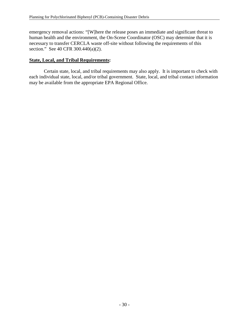emergency removal actions: "[W]here the release poses an immediate and significant threat to human health and the environment, the On-Scene Coordinator (OSC) may determine that it is necessary to transfer CERCLA waste off-site without following the requirements of this section." See 40 CFR 300.440(a)(2).

#### **State, Local, and Tribal Requirements:**

Certain state, local, and tribal requirements may also apply. It is important to check with each individual state, local, and/or tribal government. State, local, and tribal contact information may be available from the appropriate EPA Regional Office.